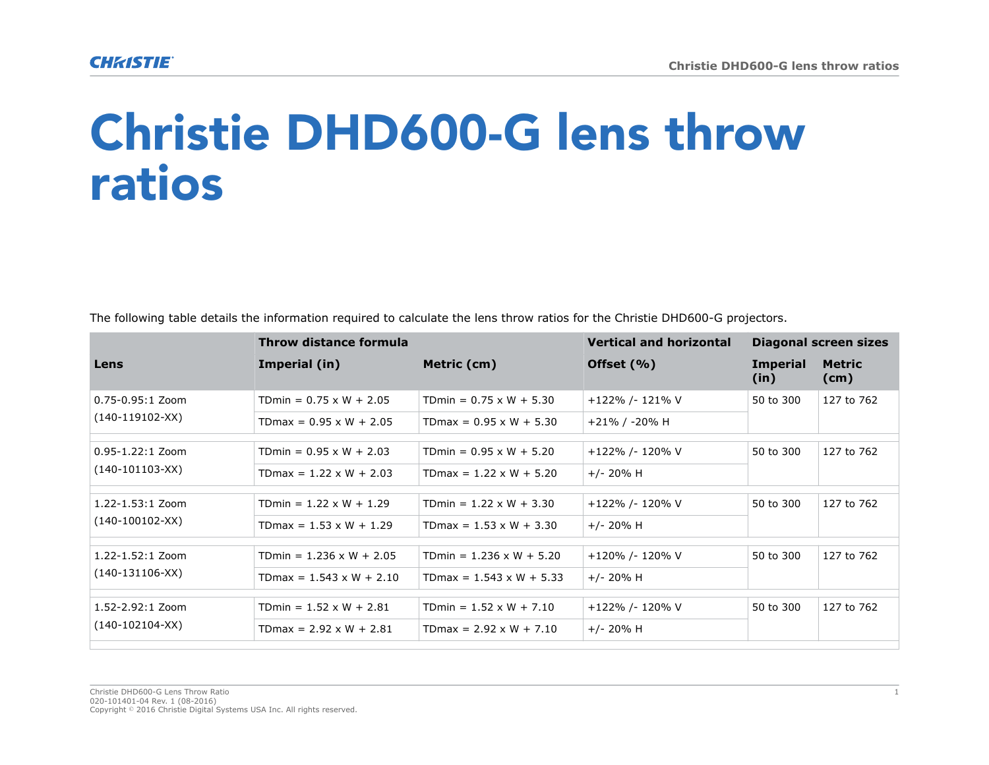## Christie DHD600-G lens throw ratios

|  |  |  |  | The following table details the information required to calculate the lens throw ratios for the Christie DHD600-G projectors. |
|--|--|--|--|-------------------------------------------------------------------------------------------------------------------------------|
|  |  |  |  |                                                                                                                               |

|                      | Throw distance formula          |                                 | <b>Vertical and horizontal</b> | Diagonal screen sizes   |                       |
|----------------------|---------------------------------|---------------------------------|--------------------------------|-------------------------|-----------------------|
| Lens                 | Imperial (in)                   | Metric (cm)                     | Offset $(\% )$                 | <b>Imperial</b><br>(in) | <b>Metric</b><br>(cm) |
| $0.75 - 0.95:1$ Zoom | TDmin = $0.75 \times W + 2.05$  | TDmin = $0.75 \times W + 5.30$  | +122% /- 121% V                | 50 to 300               | 127 to 762            |
| $(140-119102-XX)$    | TDmax = $0.95 \times W + 2.05$  | $TDmax = 0.95 \times W + 5.30$  | +21% / -20% H                  |                         |                       |
| $0.95 - 1.22:1$ Zoom | TDmin = $0.95 \times W + 2.03$  | TDmin = $0.95 \times W + 5.20$  | +122% /- 120% V                | 50 to 300               | 127 to 762            |
| $(140-101103-XX)$    | TDmax = $1.22 \times W + 2.03$  | TDmax = $1.22 \times W + 5.20$  | $+/- 20\%$ H                   |                         |                       |
| $1.22 - 1.53:1$ Zoom | TDmin = $1.22 \times W + 1.29$  | TDmin = $1.22 \times W + 3.30$  | +122% /- 120% V                | 50 to 300               | 127 to 762            |
| $(140-100102-XX)$    | TDmax = $1.53 \times W + 1.29$  | TDmax = $1.53 \times W + 3.30$  | $+/- 20\%$ H                   |                         |                       |
| 1.22-1.52:1 Zoom     | TDmin = $1.236 \times W + 2.05$ | TDmin = $1.236 \times W + 5.20$ | +120% /- 120% V                | 50 to 300               | 127 to 762            |
| $(140-131106-XX)$    | TDmax = $1.543 \times W + 2.10$ | TDmax = $1.543 \times W + 5.33$ | $+/- 20\%$ H                   |                         |                       |
| 1.52-2.92:1 Zoom     | TDmin = $1.52 \times W + 2.81$  | TDmin = $1.52 \times W + 7.10$  | +122% /- 120% V                | 50 to 300               | 127 to 762            |
| $(140-102104-XX)$    | TDmax = $2.92 \times W + 2.81$  | $T$ Dmax = 2.92 x W + 7.10      | $+/- 20\%$ H                   |                         |                       |